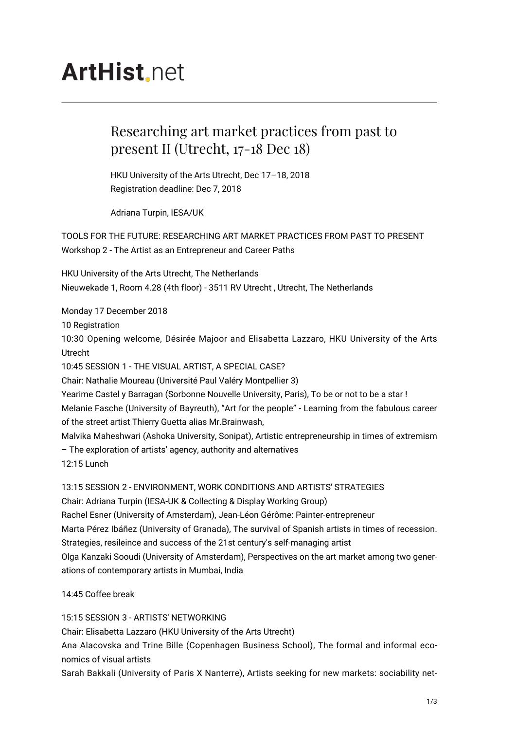## **ArtHist** net

## Researching art market practices from past to present II (Utrecht, 17-18 Dec 18)

HKU University of the Arts Utrecht, Dec 17–18, 2018 Registration deadline: Dec 7, 2018

Adriana Turpin, IESA/UK

TOOLS FOR THE FUTURE: RESEARCHING ART MARKET PRACTICES FROM PAST TO PRESENT Workshop 2 - The Artist as an Entrepreneur and Career Paths

HKU University of the Arts Utrecht, The Netherlands Nieuwekade 1, Room 4.28 (4th floor) - 3511 RV Utrecht , Utrecht, The Netherlands

Monday 17 December 2018

10 Registration

10:30 Opening welcome, Désirée Majoor and Elisabetta Lazzaro, HKU University of the Arts Utrecht

10:45 SESSION 1 - THE VISUAL ARTIST, A SPECIAL CASE?

Chair: Nathalie Moureau (Université Paul Valéry Montpellier 3)

Yearime Castel y Barragan (Sorbonne Nouvelle University, Paris), To be or not to be a star ! Melanie Fasche (University of Bayreuth), "Art for the people" - Learning from the fabulous career of the street artist Thierry Guetta alias Mr.Brainwash,

Malvika Maheshwari (Ashoka University, Sonipat), Artistic entrepreneurship in times of extremism – The exploration of artists' agency, authority and alternatives 12:15 Lunch

13:15 SESSION 2 - ENVIRONMENT, WORK CONDITIONS AND ARTISTS' STRATEGIES

Chair: Adriana Turpin (IESA-UK & Collecting & Display Working Group)

Rachel Esner (University of Amsterdam), Jean-Léon Gérôme: Painter-entrepreneur

Marta Pérez Ibáñez (University of Granada), The survival of Spanish artists in times of recession.

Strategies, resileince and success of the 21st century's self-managing artist Olga Kanzaki Sooudi (University of Amsterdam), Perspectives on the art market among two gener-

ations of contemporary artists in Mumbai, India

14:45 Coffee break

15:15 SESSION 3 - ARTISTS' NETWORKING

Chair: Elisabetta Lazzaro (HKU University of the Arts Utrecht)

Ana Alacovska and Trine Bille (Copenhagen Business School), The formal and informal economics of visual artists

Sarah Bakkali (University of Paris X Nanterre), Artists seeking for new markets: sociability net-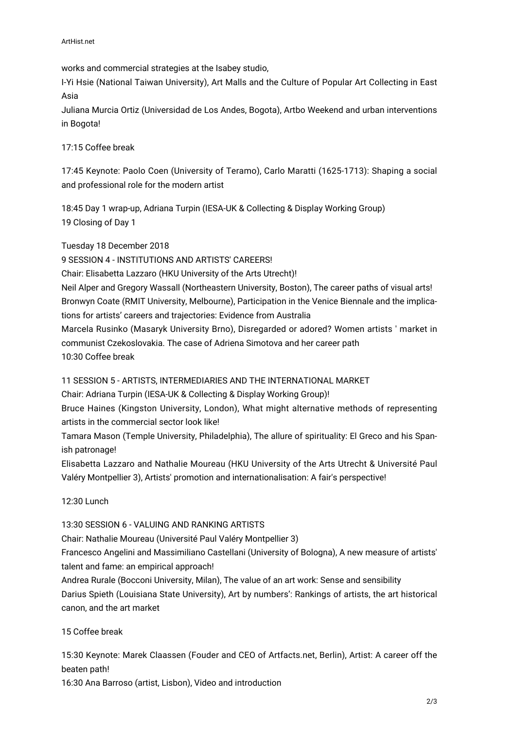works and commercial strategies at the Isabey studio,

I-Yi Hsie (National Taiwan University), Art Malls and the Culture of Popular Art Collecting in East Asia

Juliana Murcia Ortiz (Universidad de Los Andes, Bogota), Artbo Weekend and urban interventions in Bogota!

17:15 Coffee break

17:45 Keynote: Paolo Coen (University of Teramo), Carlo Maratti (1625-1713): Shaping a social and professional role for the modern artist

18:45 Day 1 wrap-up, Adriana Turpin (IESA-UK & Collecting & Display Working Group) 19 Closing of Day 1

Tuesday 18 December 2018

9 SESSION 4 - INSTITUTIONS AND ARTISTS' CAREERS!

Chair: Elisabetta Lazzaro (HKU University of the Arts Utrecht)!

Neil Alper and Gregory Wassall (Northeastern University, Boston), The career paths of visual arts! Bronwyn Coate (RMIT University, Melbourne), Participation in the Venice Biennale and the implications for artists' careers and trajectories: Evidence from Australia

Marcela Rusinko (Masaryk University Brno), Disregarded or adored? Women artists ' market in communist Czekoslovakia. The case of Adriena Simotova and her career path 10:30 Coffee break

11 SESSION 5 - ARTISTS, INTERMEDIARIES AND THE INTERNATIONAL MARKET

Chair: Adriana Turpin (IESA-UK & Collecting & Display Working Group)!

Bruce Haines (Kingston University, London), What might alternative methods of representing artists in the commercial sector look like!

Tamara Mason (Temple University, Philadelphia), The allure of spirituality: El Greco and his Spanish patronage!

Elisabetta Lazzaro and Nathalie Moureau (HKU University of the Arts Utrecht & Université Paul Valéry Montpellier 3), Artists' promotion and internationalisation: A fair's perspective!

12:30 Lunch

13:30 SESSION 6 - VALUING AND RANKING ARTISTS

Chair: Nathalie Moureau (Université Paul Valéry Montpellier 3)

Francesco Angelini and Massimiliano Castellani (University of Bologna), A new measure of artists' talent and fame: an empirical approach!

Andrea Rurale (Bocconi University, Milan), The value of an art work: Sense and sensibility Darius Spieth (Louisiana State University), Art by numbers': Rankings of artists, the art historical canon, and the art market

15 Coffee break

15:30 Keynote: Marek Claassen (Fouder and CEO of Artfacts.net, Berlin), Artist: A career off the beaten path!

16:30 Ana Barroso (artist, Lisbon), Video and introduction